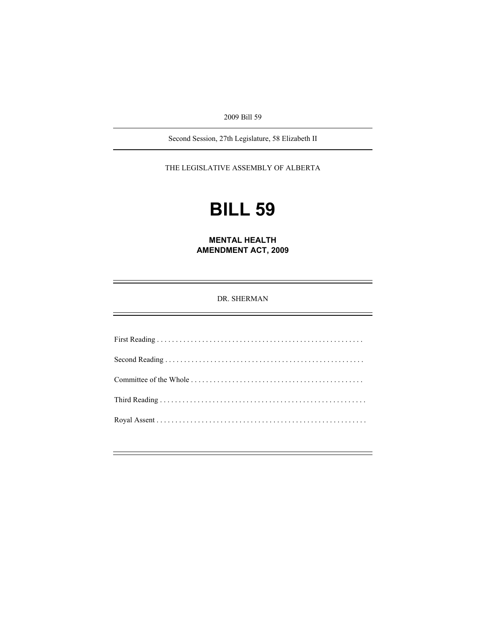2009 Bill 59

Second Session, 27th Legislature, 58 Elizabeth II

THE LEGISLATIVE ASSEMBLY OF ALBERTA

# **BILL 59**

**MENTAL HEALTH AMENDMENT ACT, 2009** 

DR. SHERMAN

First Reading . . . . . . . . . . . . . . . . . . . . . . . . . . . . . . . . . . . . . . . . . . . . . . . . . . . . . . . Second Reading . . . . . . . . . . . . . . . . . . . . . . . . . . . . . . . . . . . . . . . . . . . . . . . . . . . . . Committee of the Whole . . . . . . . . . . . . . . . . . . . . . . . . . . . . . . . . . . . . . . . . . . . . . . Third Reading . . . . . . . . . . . . . . . . . . . . . . . . . . . . . . . . . . . . . . . . . . . . . . . . . . . . . . . Royal Assent . . . . . . . . . . . . . . . . . . . . . . . . . . . . . . . . . . . . . . . . . . . . . . . . . . . . . . . .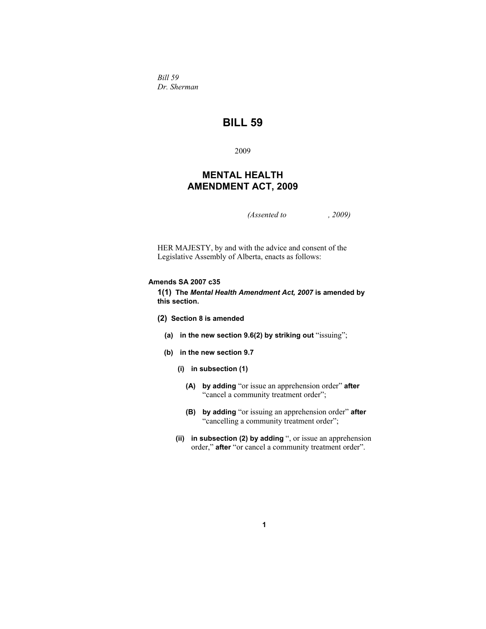*Bill 59 Dr. Sherman* 

## **BILL 59**

2009

## **MENTAL HEALTH AMENDMENT ACT, 2009**

*(Assented to , 2009)* 

HER MAJESTY, by and with the advice and consent of the Legislative Assembly of Alberta, enacts as follows:

#### **Amends SA 2007 c35**

**1(1) The** *Mental Health Amendment Act, 2007* **is amended by this section.** 

- **(2) Section 8 is amended** 
	- **(a) in the new section 9.6(2) by striking out** "issuing";
	- **(b) in the new section 9.7** 
		- **(i) in subsection (1)** 
			- **(A) by adding** "or issue an apprehension order" **after** "cancel a community treatment order";
			- **(B) by adding** "or issuing an apprehension order" **after** "cancelling a community treatment order";
		- **(ii) in subsection (2) by adding** ", or issue an apprehension order," **after** "or cancel a community treatment order".

**1**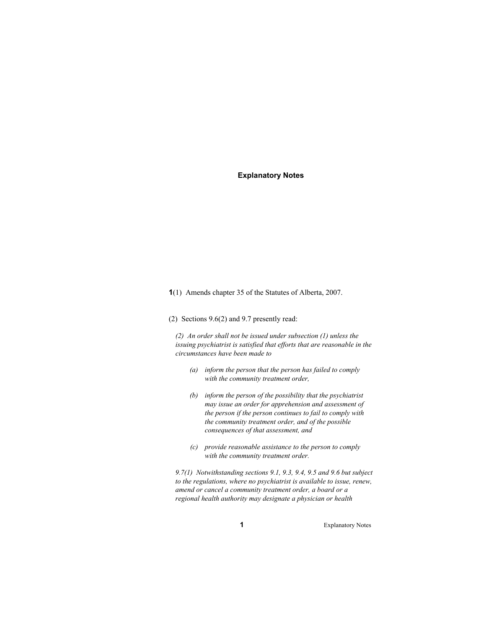#### **Explanatory Notes**

**1**(1) Amends chapter 35 of the Statutes of Alberta, 2007.

(2) Sections 9.6(2) and 9.7 presently read:

*(2) An order shall not be issued under subsection (1) unless the issuing psychiatrist is satisfied that efforts that are reasonable in the circumstances have been made to* 

- *(a) inform the person that the person has failed to comply with the community treatment order,*
- *(b) inform the person of the possibility that the psychiatrist may issue an order for apprehension and assessment of the person if the person continues to fail to comply with the community treatment order, and of the possible consequences of that assessment, and*
- *(c) provide reasonable assistance to the person to comply with the community treatment order.*

*9.7(1) Notwithstanding sections 9.1, 9.3, 9.4, 9.5 and 9.6 but subject to the regulations, where no psychiatrist is available to issue, renew, amend or cancel a community treatment order, a board or a regional health authority may designate a physician or health* 

**1** Explanatory Notes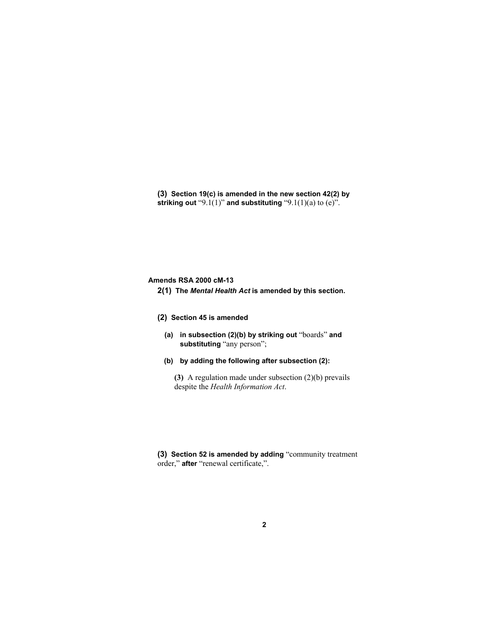**(3) Section 19(c) is amended in the new section 42(2) by striking out** "9.1(1)" **and substituting** "9.1(1)(a) to (e)".

#### **Amends RSA 2000 cM-13**

**2(1) The** *Mental Health Act* **is amended by this section.** 

### **(2) Section 45 is amended**

- **(a) in subsection (2)(b) by striking out** "boards" **and substituting** "any person";
- **(b) by adding the following after subsection (2):**

**(3)** A regulation made under subsection (2)(b) prevails despite the *Health Information Act*.

**(3) Section 52 is amended by adding** "community treatment order," **after** "renewal certificate,".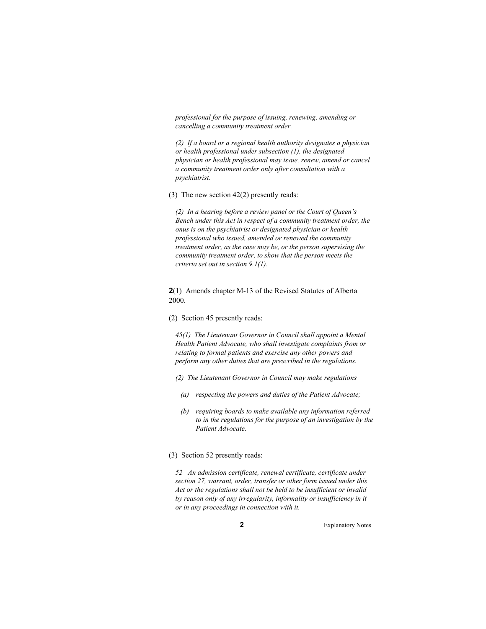*professional for the purpose of issuing, renewing, amending or cancelling a community treatment order.* 

*(2) If a board or a regional health authority designates a physician or health professional under subsection (1), the designated physician or health professional may issue, renew, amend or cancel a community treatment order only after consultation with a psychiatrist.* 

(3) The new section 42(2) presently reads:

*(2) In a hearing before a review panel or the Court of Queen's Bench under this Act in respect of a community treatment order, the onus is on the psychiatrist or designated physician or health professional who issued, amended or renewed the community treatment order, as the case may be, or the person supervising the community treatment order, to show that the person meets the criteria set out in section 9.1(1).* 

**2**(1) Amends chapter M-13 of the Revised Statutes of Alberta 2000.

(2) Section 45 presently reads:

*45(1) The Lieutenant Governor in Council shall appoint a Mental Health Patient Advocate, who shall investigate complaints from or relating to formal patients and exercise any other powers and perform any other duties that are prescribed in the regulations.* 

*(2) The Lieutenant Governor in Council may make regulations* 

- *(a) respecting the powers and duties of the Patient Advocate;*
- *(b) requiring boards to make available any information referred to in the regulations for the purpose of an investigation by the Patient Advocate.*

#### (3) Section 52 presently reads:

*52 An admission certificate, renewal certificate, certificate under section 27, warrant, order, transfer or other form issued under this Act or the regulations shall not be held to be insufficient or invalid by reason only of any irregularity, informality or insufficiency in it or in any proceedings in connection with it.* 

**2** Explanatory Notes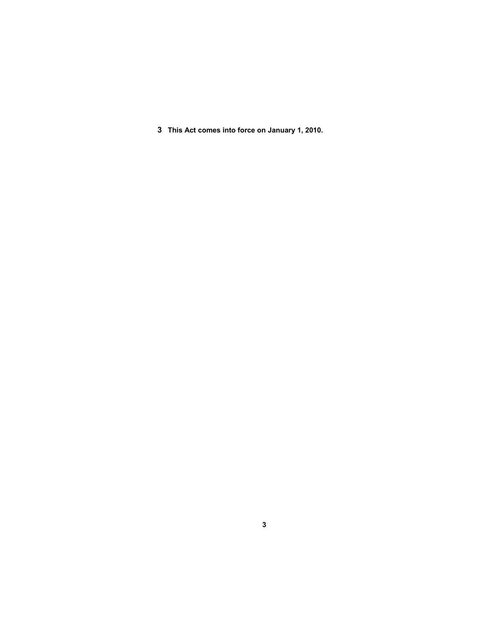**3 This Act comes into force on January 1, 2010.**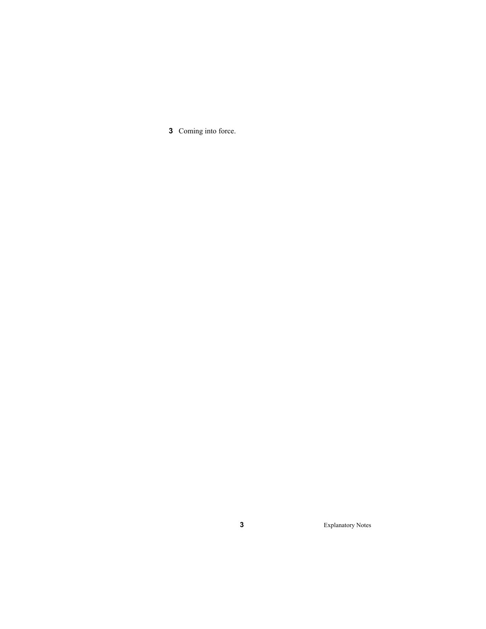Coming into force.

Explanatory Notes